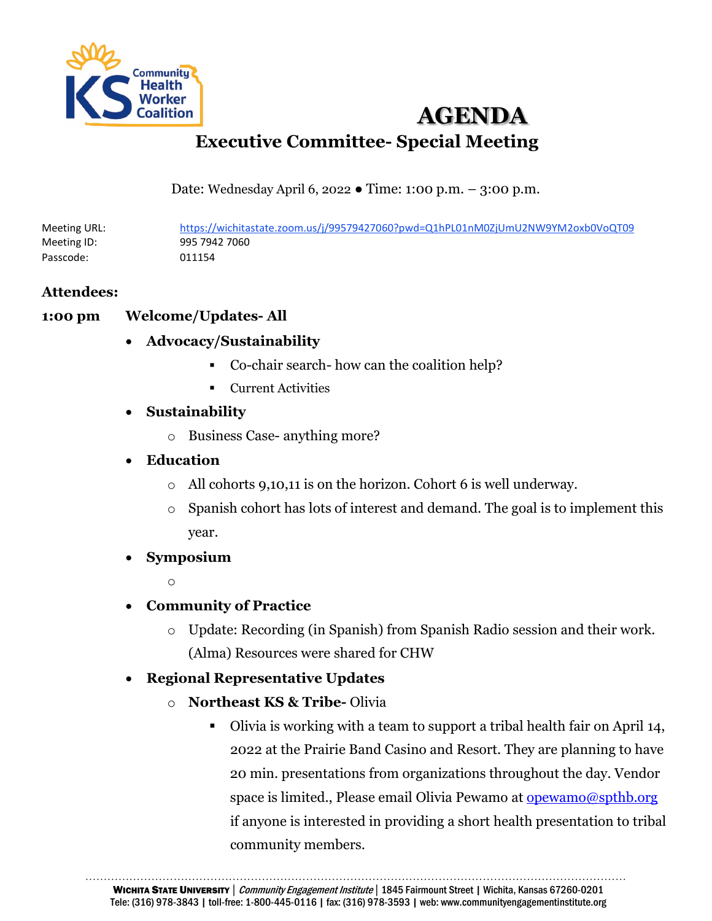

# **AGENDA Executive Committee- Special Meeting**

Date: Wednesday April 6, 2022 ● Time: 1:00 p.m. – 3:00 p.m.

Meeting URL: https://wichitastate.zoom.us/j/99579427060?pwd=Q1hPL01nM0ZjUmU2NW9YM2oxb0VoQT09 Meeting ID: 995 7942 7060 Passcode: 011154

### **Attendees:**

### **1:00 pm Welcome/Updates- All**

- **Advocacy/Sustainability**
	- Co-chair search- how can the coalition help?
	- Current Activities

### • **Sustainability**

- o Business Case- anything more?
- **Education**
	- o All cohorts 9,10,11 is on the horizon. Cohort 6 is well underway.
	- o Spanish cohort has lots of interest and demand. The goal is to implement this year.
- **Symposium**
	- $\sim$
- **Community of Practice**
	- o Update: Recording (in Spanish) from Spanish Radio session and their work. (Alma) Resources were shared for CHW
- **Regional Representative Updates**
	- o **Northeast KS & Tribe-** Olivia
		- Olivia is working with a team to support a tribal health fair on April 14, 2022 at the Prairie Band Casino and Resort. They are planning to have 20 min. presentations from organizations throughout the day. Vendor space is limited., Please email Olivia Pewamo at [opewamo@spthb.org](mailto:opewamo@spthb.org) if anyone is interested in providing a short health presentation to tribal community members.

………………………………………………………………………………………………………………………………… WICHITA STATE UNIVERSITY | Community Engagement Institute | 1845 Fairmount Street | Wichita, Kansas 67260-0201 Tele: (316) 978-3843 | toll-free: 1-800-445-0116 | fax: (316) 978-3593 | web: www.communityengagementinstitute.org